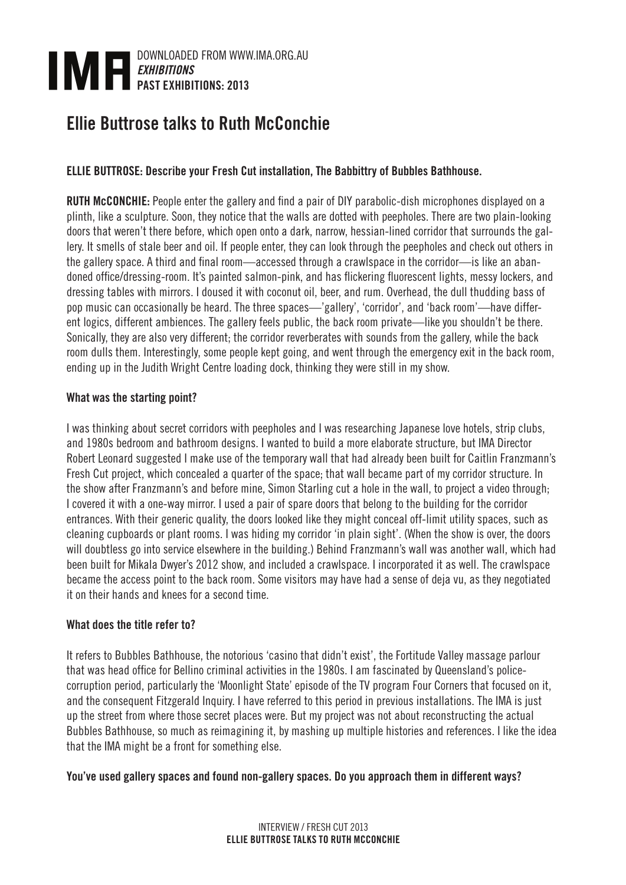

# Ellie Buttrose talks to Ruth McConchie

## ELLIE BUTTROSE: Describe your Fresh Cut installation, The Babbittry of Bubbles Bathhouse.

RUTH McCONCHIE: People enter the gallery and find a pair of DIY parabolic-dish microphones displayed on a plinth, like a sculpture. Soon, they notice that the walls are dotted with peepholes. There are two plain-looking doors that weren't there before, which open onto a dark, narrow, hessian-lined corridor that surrounds the gallery. It smells of stale beer and oil. If people enter, they can look through the peepholes and check out others in the gallery space. A third and final room—accessed through a crawlspace in the corridor—is like an abandoned office/dressing-room. It's painted salmon-pink, and has flickering fluorescent lights, messy lockers, and dressing tables with mirrors. I doused it with coconut oil, beer, and rum. Overhead, the dull thudding bass of pop music can occasionally be heard. The three spaces—'gallery', 'corridor', and 'back room'—have different logics, different ambiences. The gallery feels public, the back room private—like you shouldn't be there. Sonically, they are also very different; the corridor reverberates with sounds from the gallery, while the back room dulls them. Interestingly, some people kept going, and went through the emergency exit in the back room, ending up in the Judith Wright Centre loading dock, thinking they were still in my show.

#### What was the starting point?

I was thinking about secret corridors with peepholes and I was researching Japanese love hotels, strip clubs, and 1980s bedroom and bathroom designs. I wanted to build a more elaborate structure, but IMA Director Robert Leonard suggested I make use of the temporary wall that had already been built for Caitlin Franzmann's Fresh Cut project, which concealed a quarter of the space; that wall became part of my corridor structure. In the show after Franzmann's and before mine, Simon Starling cut a hole in the wall, to project a video through; I covered it with a one-way mirror. I used a pair of spare doors that belong to the building for the corridor entrances. With their generic quality, the doors looked like they might conceal off-limit utility spaces, such as cleaning cupboards or plant rooms. I was hiding my corridor 'in plain sight'. (When the show is over, the doors will doubtless go into service elsewhere in the building.) Behind Franzmann's wall was another wall, which had been built for Mikala Dwyer's 2012 show, and included a crawlspace. I incorporated it as well. The crawlspace became the access point to the back room. Some visitors may have had a sense of deja vu, as they negotiated it on their hands and knees for a second time.

#### What does the title refer to?

It refers to Bubbles Bathhouse, the notorious 'casino that didn't exist', the Fortitude Valley massage parlour that was head office for Bellino criminal activities in the 1980s. I am fascinated by Queensland's policecorruption period, particularly the 'Moonlight State' episode of the TV program Four Corners that focused on it, and the consequent Fitzgerald Inquiry. I have referred to this period in previous installations. The IMA is just up the street from where those secret places were. But my project was not about reconstructing the actual Bubbles Bathhouse, so much as reimagining it, by mashing up multiple histories and references. I like the idea that the IMA might be a front for something else.

#### You've used gallery spaces and found non-gallery spaces. Do you approach them in different ways?